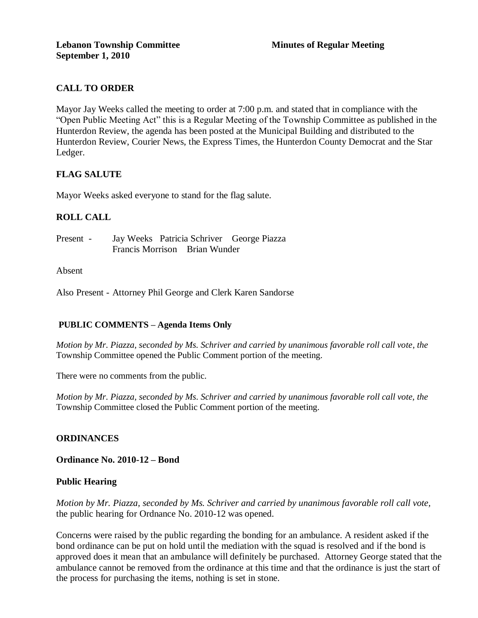# **CALL TO ORDER**

Mayor Jay Weeks called the meeting to order at 7:00 p.m. and stated that in compliance with the "Open Public Meeting Act" this is a Regular Meeting of the Township Committee as published in the Hunterdon Review, the agenda has been posted at the Municipal Building and distributed to the Hunterdon Review, Courier News, the Express Times, the Hunterdon County Democrat and the Star Ledger.

# **FLAG SALUTE**

Mayor Weeks asked everyone to stand for the flag salute.

## **ROLL CALL**

Present - Jay Weeks Patricia Schriver George Piazza Francis Morrison Brian Wunder

#### Absent

Also Present - Attorney Phil George and Clerk Karen Sandorse

### **PUBLIC COMMENTS – Agenda Items Only**

*Motion by Mr. Piazza, seconded by Ms. Schriver and carried by unanimous favorable roll call vote, the* Township Committee opened the Public Comment portion of the meeting.

There were no comments from the public.

*Motion by Mr. Piazza, seconded by Ms. Schriver and carried by unanimous favorable roll call vote, the* Township Committee closed the Public Comment portion of the meeting.

### **ORDINANCES**

**Ordinance No. 2010-12 – Bond**

### **Public Hearing**

*Motion by Mr. Piazza, seconded by Ms. Schriver and carried by unanimous favorable roll call vote,* the public hearing for Ordnance No. 2010-12 was opened.

Concerns were raised by the public regarding the bonding for an ambulance. A resident asked if the bond ordinance can be put on hold until the mediation with the squad is resolved and if the bond is approved does it mean that an ambulance will definitely be purchased. Attorney George stated that the ambulance cannot be removed from the ordinance at this time and that the ordinance is just the start of the process for purchasing the items, nothing is set in stone.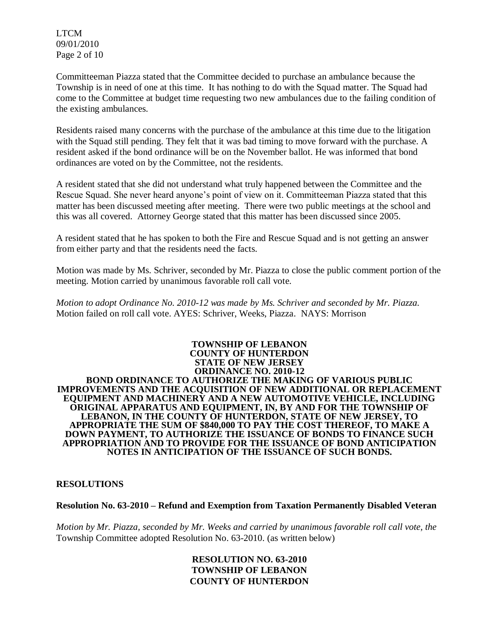LTCM 09/01/2010 Page 2 of 10

Committeeman Piazza stated that the Committee decided to purchase an ambulance because the Township is in need of one at this time. It has nothing to do with the Squad matter. The Squad had come to the Committee at budget time requesting two new ambulances due to the failing condition of the existing ambulances.

Residents raised many concerns with the purchase of the ambulance at this time due to the litigation with the Squad still pending. They felt that it was bad timing to move forward with the purchase. A resident asked if the bond ordinance will be on the November ballot. He was informed that bond ordinances are voted on by the Committee, not the residents.

A resident stated that she did not understand what truly happened between the Committee and the Rescue Squad. She never heard anyone's point of view on it. Committeeman Piazza stated that this matter has been discussed meeting after meeting. There were two public meetings at the school and this was all covered. Attorney George stated that this matter has been discussed since 2005.

A resident stated that he has spoken to both the Fire and Rescue Squad and is not getting an answer from either party and that the residents need the facts.

Motion was made by Ms. Schriver, seconded by Mr. Piazza to close the public comment portion of the meeting. Motion carried by unanimous favorable roll call vote.

*Motion to adopt Ordinance No. 2010-12 was made by Ms. Schriver and seconded by Mr. Piazza.*  Motion failed on roll call vote. AYES: Schriver, Weeks, Piazza. NAYS: Morrison

#### **TOWNSHIP OF LEBANON COUNTY OF HUNTERDON STATE OF NEW JERSEY ORDINANCE NO. 2010-12 BOND ORDINANCE TO AUTHORIZE THE MAKING OF VARIOUS PUBLIC IMPROVEMENTS AND THE ACQUISITION OF NEW ADDITIONAL OR REPLACEMENT EQUIPMENT AND MACHINERY AND A NEW AUTOMOTIVE VEHICLE, INCLUDING ORIGINAL APPARATUS AND EQUIPMENT, IN, BY AND FOR THE TOWNSHIP OF LEBANON, IN THE COUNTY OF HUNTERDON, STATE OF NEW JERSEY, TO APPROPRIATE THE SUM OF \$840,000 TO PAY THE COST THEREOF, TO MAKE A DOWN PAYMENT, TO AUTHORIZE THE ISSUANCE OF BONDS TO FINANCE SUCH APPROPRIATION AND TO PROVIDE FOR THE ISSUANCE OF BOND ANTICIPATION NOTES IN ANTICIPATION OF THE ISSUANCE OF SUCH BONDS.**

### **RESOLUTIONS**

#### **Resolution No. 63-2010 – Refund and Exemption from Taxation Permanently Disabled Veteran**

*Motion by Mr. Piazza, seconded by Mr. Weeks and carried by unanimous favorable roll call vote, the* Township Committee adopted Resolution No. 63-2010. (as written below)

### **RESOLUTION NO. 63-2010 TOWNSHIP OF LEBANON COUNTY OF HUNTERDON**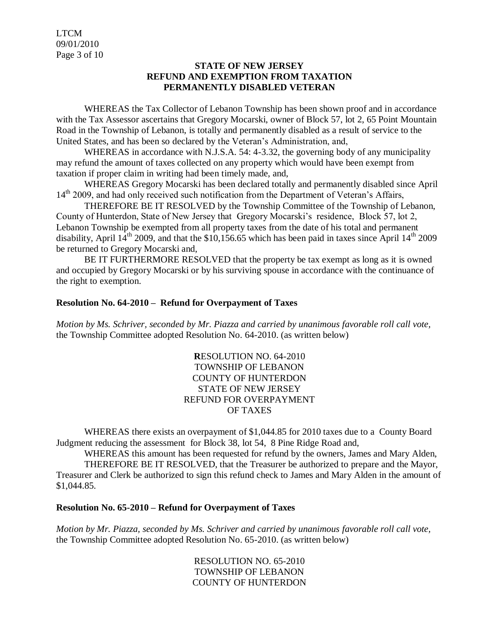LTCM 09/01/2010 Page 3 of 10

### **STATE OF NEW JERSEY REFUND AND EXEMPTION FROM TAXATION PERMANENTLY DISABLED VETERAN**

WHEREAS the Tax Collector of Lebanon Township has been shown proof and in accordance with the Tax Assessor ascertains that Gregory Mocarski, owner of Block 57, lot 2, 65 Point Mountain Road in the Township of Lebanon, is totally and permanently disabled as a result of service to the United States, and has been so declared by the Veteran's Administration, and,

WHEREAS in accordance with N.J.S.A. 54: 4-3.32, the governing body of any municipality may refund the amount of taxes collected on any property which would have been exempt from taxation if proper claim in writing had been timely made, and,

WHEREAS Gregory Mocarski has been declared totally and permanently disabled since April 14<sup>th</sup> 2009, and had only received such notification from the Department of Veteran's Affairs,

THEREFORE BE IT RESOLVED by the Township Committee of the Township of Lebanon, County of Hunterdon, State of New Jersey that Gregory Mocarski's residence, Block 57, lot 2, Lebanon Township be exempted from all property taxes from the date of his total and permanent disability, April  $14^{th}$  2009, and that the \$10,156.65 which has been paid in taxes since April  $14^{th}$  2009 be returned to Gregory Mocarski and,

BE IT FURTHERMORE RESOLVED that the property be tax exempt as long as it is owned and occupied by Gregory Mocarski or by his surviving spouse in accordance with the continuance of the right to exemption.

### **Resolution No. 64-2010 – Refund for Overpayment of Taxes**

*Motion by Ms. Schriver, seconded by Mr. Piazza and carried by unanimous favorable roll call vote,* the Township Committee adopted Resolution No. 64-2010. (as written below)

> **R**ESOLUTION NO. 64-2010 TOWNSHIP OF LEBANON COUNTY OF HUNTERDON STATE OF NEW JERSEY REFUND FOR OVERPAYMENT OF TAXES

WHEREAS there exists an overpayment of \$1,044.85 for 2010 taxes due to a County Board Judgment reducing the assessment for Block 38, lot 54, 8 Pine Ridge Road and,

WHEREAS this amount has been requested for refund by the owners, James and Mary Alden, THEREFORE BE IT RESOLVED, that the Treasurer be authorized to prepare and the Mayor, Treasurer and Clerk be authorized to sign this refund check to James and Mary Alden in the amount of \$1,044.85.

#### **Resolution No. 65-2010 – Refund for Overpayment of Taxes**

*Motion by Mr. Piazza, seconded by Ms. Schriver and carried by unanimous favorable roll call vote,* the Township Committee adopted Resolution No. 65-2010. (as written below)

> RESOLUTION NO. 65-2010 TOWNSHIP OF LEBANON COUNTY OF HUNTERDON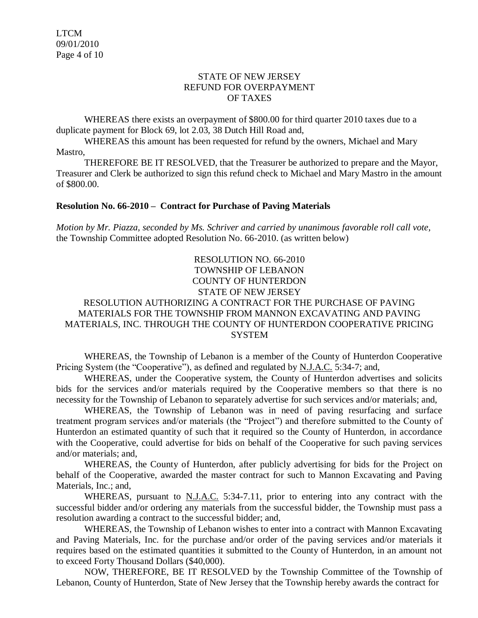### STATE OF NEW JERSEY REFUND FOR OVERPAYMENT OF TAXES

WHEREAS there exists an overpayment of \$800.00 for third quarter 2010 taxes due to a duplicate payment for Block 69, lot 2.03, 38 Dutch Hill Road and,

WHEREAS this amount has been requested for refund by the owners, Michael and Mary Mastro,

THEREFORE BE IT RESOLVED, that the Treasurer be authorized to prepare and the Mayor, Treasurer and Clerk be authorized to sign this refund check to Michael and Mary Mastro in the amount of \$800.00.

#### **Resolution No. 66-2010 – Contract for Purchase of Paving Materials**

*Motion by Mr. Piazza, seconded by Ms. Schriver and carried by unanimous favorable roll call vote,* the Township Committee adopted Resolution No. 66-2010. (as written below)

### RESOLUTION NO. 66-2010 TOWNSHIP OF LEBANON COUNTY OF HUNTERDON STATE OF NEW JERSEY

# RESOLUTION AUTHORIZING A CONTRACT FOR THE PURCHASE OF PAVING MATERIALS FOR THE TOWNSHIP FROM MANNON EXCAVATING AND PAVING MATERIALS, INC. THROUGH THE COUNTY OF HUNTERDON COOPERATIVE PRICING SYSTEM

WHEREAS, the Township of Lebanon is a member of the County of Hunterdon Cooperative Pricing System (the "Cooperative"), as defined and regulated by N.J.A.C. 5:34-7; and,

WHEREAS, under the Cooperative system, the County of Hunterdon advertises and solicits bids for the services and/or materials required by the Cooperative members so that there is no necessity for the Township of Lebanon to separately advertise for such services and/or materials; and,

WHEREAS, the Township of Lebanon was in need of paving resurfacing and surface treatment program services and/or materials (the "Project") and therefore submitted to the County of Hunterdon an estimated quantity of such that it required so the County of Hunterdon, in accordance with the Cooperative, could advertise for bids on behalf of the Cooperative for such paving services and/or materials; and,

WHEREAS, the County of Hunterdon, after publicly advertising for bids for the Project on behalf of the Cooperative, awarded the master contract for such to Mannon Excavating and Paving Materials, Inc.; and,

WHEREAS, pursuant to  $N.J.A.C.$  5:34-7.11, prior to entering into any contract with the successful bidder and/or ordering any materials from the successful bidder, the Township must pass a resolution awarding a contract to the successful bidder; and,

WHEREAS, the Township of Lebanon wishes to enter into a contract with Mannon Excavating and Paving Materials, Inc. for the purchase and/or order of the paving services and/or materials it requires based on the estimated quantities it submitted to the County of Hunterdon, in an amount not to exceed Forty Thousand Dollars (\$40,000).

NOW, THEREFORE, BE IT RESOLVED by the Township Committee of the Township of Lebanon, County of Hunterdon, State of New Jersey that the Township hereby awards the contract for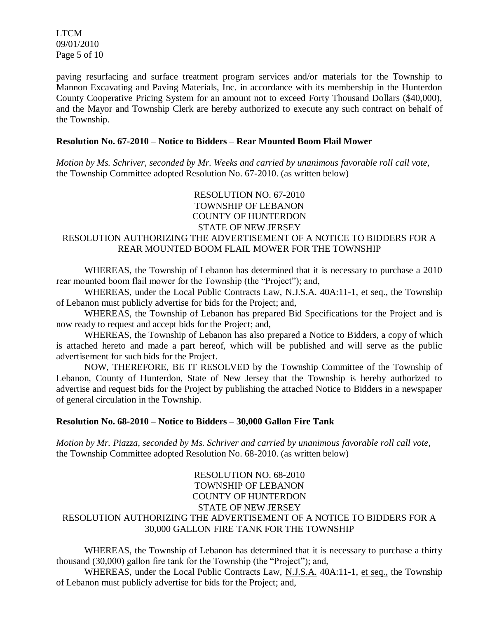LTCM 09/01/2010 Page 5 of 10

paving resurfacing and surface treatment program services and/or materials for the Township to Mannon Excavating and Paving Materials, Inc. in accordance with its membership in the Hunterdon County Cooperative Pricing System for an amount not to exceed Forty Thousand Dollars (\$40,000), and the Mayor and Township Clerk are hereby authorized to execute any such contract on behalf of the Township.

#### **Resolution No. 67-2010 – Notice to Bidders – Rear Mounted Boom Flail Mower**

*Motion by Ms. Schriver, seconded by Mr. Weeks and carried by unanimous favorable roll call vote,* the Township Committee adopted Resolution No. 67-2010. (as written below)

# RESOLUTION NO. 67-2010 TOWNSHIP OF LEBANON COUNTY OF HUNTERDON STATE OF NEW JERSEY RESOLUTION AUTHORIZING THE ADVERTISEMENT OF A NOTICE TO BIDDERS FOR A REAR MOUNTED BOOM FLAIL MOWER FOR THE TOWNSHIP

WHEREAS, the Township of Lebanon has determined that it is necessary to purchase a 2010 rear mounted boom flail mower for the Township (the "Project"); and,

WHEREAS, under the Local Public Contracts Law, N.J.S.A. 40A:11-1, et seq., the Township of Lebanon must publicly advertise for bids for the Project; and,

WHEREAS, the Township of Lebanon has prepared Bid Specifications for the Project and is now ready to request and accept bids for the Project; and,

WHEREAS, the Township of Lebanon has also prepared a Notice to Bidders, a copy of which is attached hereto and made a part hereof, which will be published and will serve as the public advertisement for such bids for the Project.

NOW, THEREFORE, BE IT RESOLVED by the Township Committee of the Township of Lebanon, County of Hunterdon, State of New Jersey that the Township is hereby authorized to advertise and request bids for the Project by publishing the attached Notice to Bidders in a newspaper of general circulation in the Township.

### **Resolution No. 68-2010 – Notice to Bidders – 30,000 Gallon Fire Tank**

*Motion by Mr. Piazza, seconded by Ms. Schriver and carried by unanimous favorable roll call vote,* the Township Committee adopted Resolution No. 68-2010. (as written below)

## RESOLUTION NO. 68-2010 TOWNSHIP OF LEBANON COUNTY OF HUNTERDON STATE OF NEW JERSEY RESOLUTION AUTHORIZING THE ADVERTISEMENT OF A NOTICE TO BIDDERS FOR A 30,000 GALLON FIRE TANK FOR THE TOWNSHIP

WHEREAS, the Township of Lebanon has determined that it is necessary to purchase a thirty thousand (30,000) gallon fire tank for the Township (the "Project"); and,

WHEREAS, under the Local Public Contracts Law, N.J.S.A. 40A:11-1, et seq., the Township of Lebanon must publicly advertise for bids for the Project; and,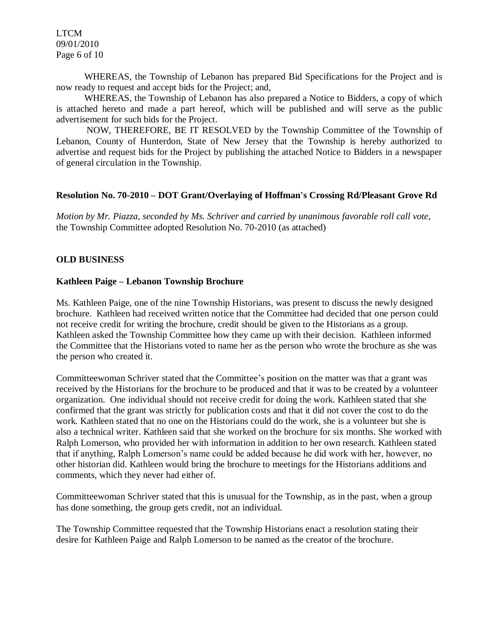LTCM 09/01/2010 Page 6 of 10

WHEREAS, the Township of Lebanon has prepared Bid Specifications for the Project and is now ready to request and accept bids for the Project; and,

WHEREAS, the Township of Lebanon has also prepared a Notice to Bidders, a copy of which is attached hereto and made a part hereof, which will be published and will serve as the public advertisement for such bids for the Project.

NOW, THEREFORE, BE IT RESOLVED by the Township Committee of the Township of Lebanon, County of Hunterdon, State of New Jersey that the Township is hereby authorized to advertise and request bids for the Project by publishing the attached Notice to Bidders in a newspaper of general circulation in the Township.

### **Resolution No. 70-2010 – DOT Grant/Overlaying of Hoffman's Crossing Rd/Pleasant Grove Rd**

*Motion by Mr. Piazza, seconded by Ms. Schriver and carried by unanimous favorable roll call vote,* the Township Committee adopted Resolution No. 70-2010 (as attached)

## **OLD BUSINESS**

### **Kathleen Paige – Lebanon Township Brochure**

Ms. Kathleen Paige, one of the nine Township Historians, was present to discuss the newly designed brochure. Kathleen had received written notice that the Committee had decided that one person could not receive credit for writing the brochure, credit should be given to the Historians as a group. Kathleen asked the Township Committee how they came up with their decision. Kathleen informed the Committee that the Historians voted to name her as the person who wrote the brochure as she was the person who created it.

Committeewoman Schriver stated that the Committee's position on the matter was that a grant was received by the Historians for the brochure to be produced and that it was to be created by a volunteer organization. One individual should not receive credit for doing the work. Kathleen stated that she confirmed that the grant was strictly for publication costs and that it did not cover the cost to do the work. Kathleen stated that no one on the Historians could do the work, she is a volunteer but she is also a technical writer. Kathleen said that she worked on the brochure for six months. She worked with Ralph Lomerson, who provided her with information in addition to her own research. Kathleen stated that if anything, Ralph Lomerson's name could be added because he did work with her, however, no other historian did. Kathleen would bring the brochure to meetings for the Historians additions and comments, which they never had either of.

Committeewoman Schriver stated that this is unusual for the Township, as in the past, when a group has done something, the group gets credit, not an individual.

The Township Committee requested that the Township Historians enact a resolution stating their desire for Kathleen Paige and Ralph Lomerson to be named as the creator of the brochure.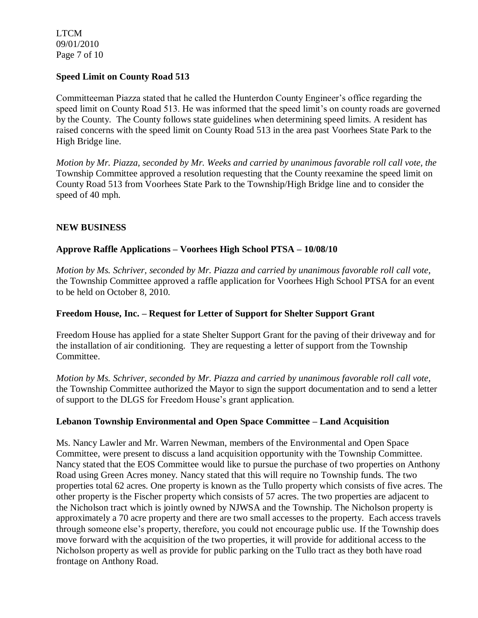LTCM 09/01/2010 Page 7 of 10

## **Speed Limit on County Road 513**

Committeeman Piazza stated that he called the Hunterdon County Engineer's office regarding the speed limit on County Road 513. He was informed that the speed limit's on county roads are governed by the County. The County follows state guidelines when determining speed limits. A resident has raised concerns with the speed limit on County Road 513 in the area past Voorhees State Park to the High Bridge line.

*Motion by Mr. Piazza, seconded by Mr. Weeks and carried by unanimous favorable roll call vote, the* Township Committee approved a resolution requesting that the County reexamine the speed limit on County Road 513 from Voorhees State Park to the Township/High Bridge line and to consider the speed of 40 mph.

## **NEW BUSINESS**

# **Approve Raffle Applications – Voorhees High School PTSA – 10/08/10**

*Motion by Ms. Schriver, seconded by Mr. Piazza and carried by unanimous favorable roll call vote,* the Township Committee approved a raffle application for Voorhees High School PTSA for an event to be held on October 8, 2010.

### **Freedom House, Inc. – Request for Letter of Support for Shelter Support Grant**

Freedom House has applied for a state Shelter Support Grant for the paving of their driveway and for the installation of air conditioning. They are requesting a letter of support from the Township Committee.

*Motion by Ms. Schriver, seconded by Mr. Piazza and carried by unanimous favorable roll call vote,* the Township Committee authorized the Mayor to sign the support documentation and to send a letter of support to the DLGS for Freedom House's grant application.

### **Lebanon Township Environmental and Open Space Committee – Land Acquisition**

Ms. Nancy Lawler and Mr. Warren Newman, members of the Environmental and Open Space Committee, were present to discuss a land acquisition opportunity with the Township Committee. Nancy stated that the EOS Committee would like to pursue the purchase of two properties on Anthony Road using Green Acres money. Nancy stated that this will require no Township funds. The two properties total 62 acres. One property is known as the Tullo property which consists of five acres. The other property is the Fischer property which consists of 57 acres. The two properties are adjacent to the Nicholson tract which is jointly owned by NJWSA and the Township. The Nicholson property is approximately a 70 acre property and there are two small accesses to the property. Each access travels through someone else's property, therefore, you could not encourage public use. If the Township does move forward with the acquisition of the two properties, it will provide for additional access to the Nicholson property as well as provide for public parking on the Tullo tract as they both have road frontage on Anthony Road.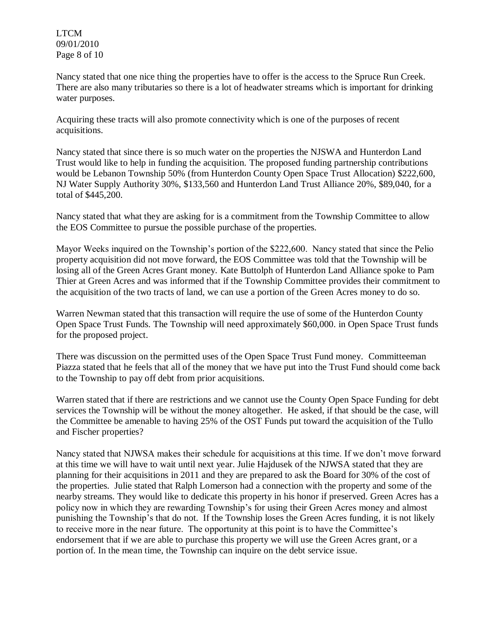LTCM 09/01/2010 Page 8 of 10

Nancy stated that one nice thing the properties have to offer is the access to the Spruce Run Creek. There are also many tributaries so there is a lot of headwater streams which is important for drinking water purposes.

Acquiring these tracts will also promote connectivity which is one of the purposes of recent acquisitions.

Nancy stated that since there is so much water on the properties the NJSWA and Hunterdon Land Trust would like to help in funding the acquisition. The proposed funding partnership contributions would be Lebanon Township 50% (from Hunterdon County Open Space Trust Allocation) \$222,600, NJ Water Supply Authority 30%, \$133,560 and Hunterdon Land Trust Alliance 20%, \$89,040, for a total of \$445,200.

Nancy stated that what they are asking for is a commitment from the Township Committee to allow the EOS Committee to pursue the possible purchase of the properties.

Mayor Weeks inquired on the Township's portion of the \$222,600. Nancy stated that since the Pelio property acquisition did not move forward, the EOS Committee was told that the Township will be losing all of the Green Acres Grant money. Kate Buttolph of Hunterdon Land Alliance spoke to Pam Thier at Green Acres and was informed that if the Township Committee provides their commitment to the acquisition of the two tracts of land, we can use a portion of the Green Acres money to do so.

Warren Newman stated that this transaction will require the use of some of the Hunterdon County Open Space Trust Funds. The Township will need approximately \$60,000. in Open Space Trust funds for the proposed project.

There was discussion on the permitted uses of the Open Space Trust Fund money. Committeeman Piazza stated that he feels that all of the money that we have put into the Trust Fund should come back to the Township to pay off debt from prior acquisitions.

Warren stated that if there are restrictions and we cannot use the County Open Space Funding for debt services the Township will be without the money altogether. He asked, if that should be the case, will the Committee be amenable to having 25% of the OST Funds put toward the acquisition of the Tullo and Fischer properties?

Nancy stated that NJWSA makes their schedule for acquisitions at this time. If we don't move forward at this time we will have to wait until next year. Julie Hajdusek of the NJWSA stated that they are planning for their acquisitions in 2011 and they are prepared to ask the Board for 30% of the cost of the properties. Julie stated that Ralph Lomerson had a connection with the property and some of the nearby streams. They would like to dedicate this property in his honor if preserved. Green Acres has a policy now in which they are rewarding Township's for using their Green Acres money and almost punishing the Township's that do not. If the Township loses the Green Acres funding, it is not likely to receive more in the near future. The opportunity at this point is to have the Committee's endorsement that if we are able to purchase this property we will use the Green Acres grant, or a portion of. In the mean time, the Township can inquire on the debt service issue.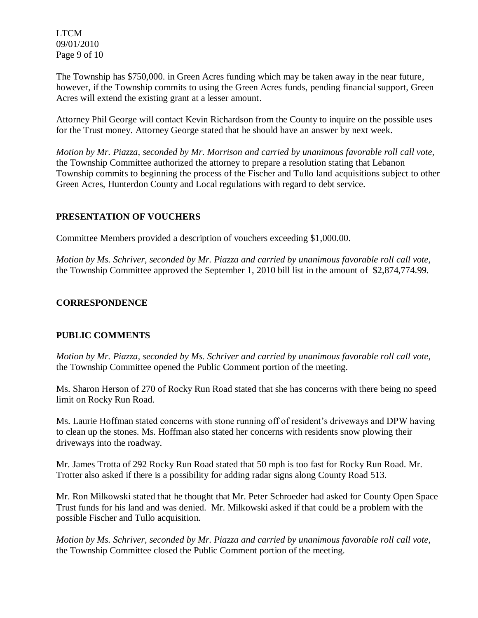LTCM 09/01/2010 Page 9 of 10

The Township has \$750,000. in Green Acres funding which may be taken away in the near future, however, if the Township commits to using the Green Acres funds, pending financial support, Green Acres will extend the existing grant at a lesser amount.

Attorney Phil George will contact Kevin Richardson from the County to inquire on the possible uses for the Trust money. Attorney George stated that he should have an answer by next week.

*Motion by Mr. Piazza, seconded by Mr. Morrison and carried by unanimous favorable roll call vote,* the Township Committee authorized the attorney to prepare a resolution stating that Lebanon Township commits to beginning the process of the Fischer and Tullo land acquisitions subject to other Green Acres, Hunterdon County and Local regulations with regard to debt service.

# **PRESENTATION OF VOUCHERS**

Committee Members provided a description of vouchers exceeding \$1,000.00.

*Motion by Ms. Schriver, seconded by Mr. Piazza and carried by unanimous favorable roll call vote,* the Township Committee approved the September 1, 2010 bill list in the amount of \$2,874,774.99.

# **CORRESPONDENCE**

# **PUBLIC COMMENTS**

*Motion by Mr. Piazza, seconded by Ms. Schriver and carried by unanimous favorable roll call vote,* the Township Committee opened the Public Comment portion of the meeting.

Ms. Sharon Herson of 270 of Rocky Run Road stated that she has concerns with there being no speed limit on Rocky Run Road.

Ms. Laurie Hoffman stated concerns with stone running off of resident's driveways and DPW having to clean up the stones. Ms. Hoffman also stated her concerns with residents snow plowing their driveways into the roadway.

Mr. James Trotta of 292 Rocky Run Road stated that 50 mph is too fast for Rocky Run Road. Mr. Trotter also asked if there is a possibility for adding radar signs along County Road 513.

Mr. Ron Milkowski stated that he thought that Mr. Peter Schroeder had asked for County Open Space Trust funds for his land and was denied. Mr. Milkowski asked if that could be a problem with the possible Fischer and Tullo acquisition.

*Motion by Ms. Schriver, seconded by Mr. Piazza and carried by unanimous favorable roll call vote,* the Township Committee closed the Public Comment portion of the meeting.